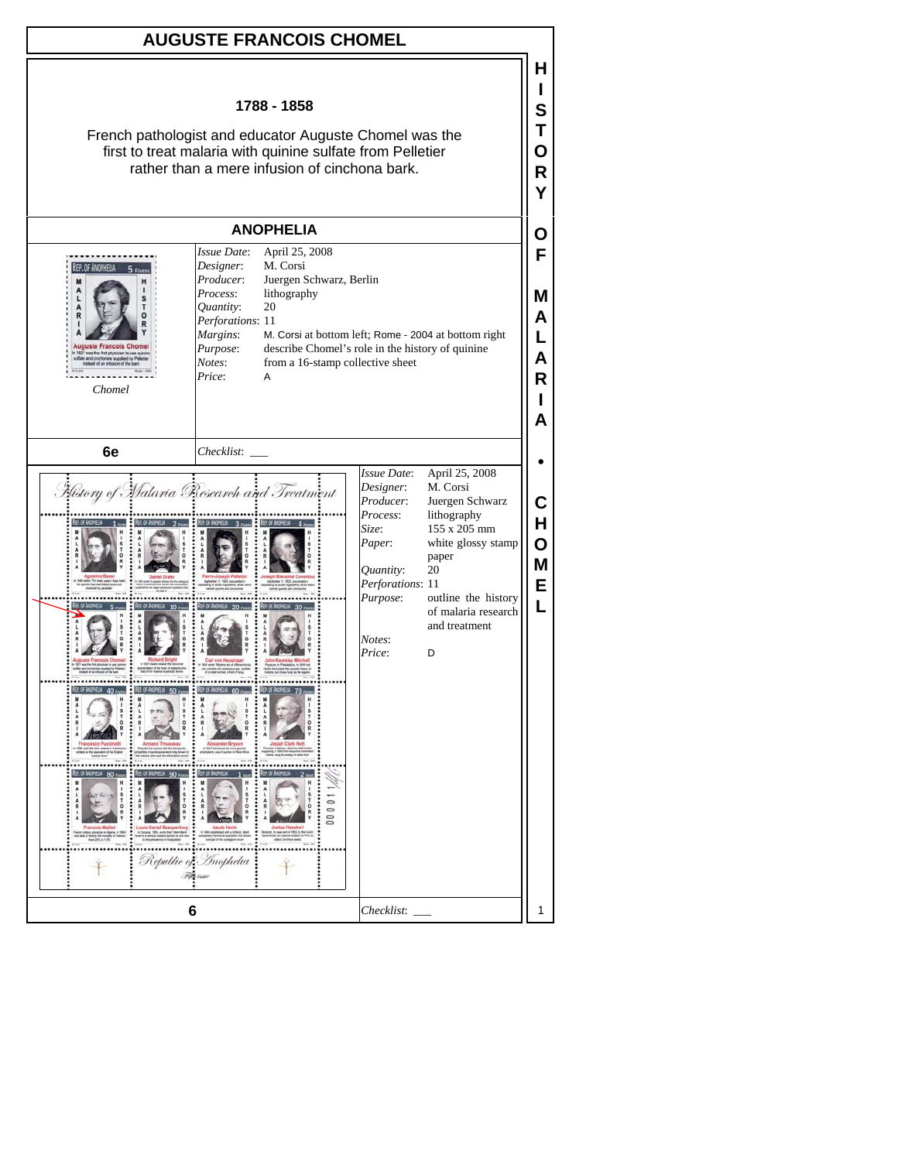